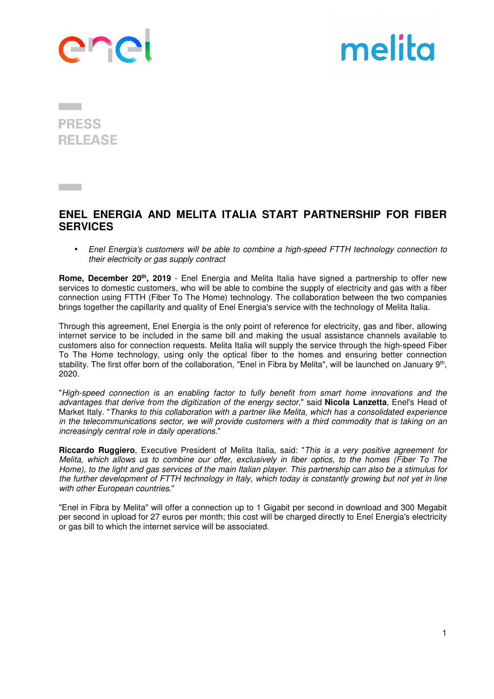



**PRESS RELEASE** 

**Contract Contract** 

## **ENEL ENERGIA AND MELITA ITALIA START PARTNERSHIP FOR FIBER SERVICES**

• Enel Energia's customers will be able to combine a high-speed FTTH technology connection to their electricity or gas supply contract

**Rome, December 20th, 2019** - Enel Energia and Melita Italia have signed a partnership to offer new services to domestic customers, who will be able to combine the supply of electricity and gas with a fiber connection using FTTH (Fiber To The Home) technology. The collaboration between the two companies brings together the capillarity and quality of Enel Energia's service with the technology of Melita Italia.

Through this agreement, Enel Energia is the only point of reference for electricity, gas and fiber, allowing internet service to be included in the same bill and making the usual assistance channels available to customers also for connection requests. Melita Italia will supply the service through the high-speed Fiber To The Home technology, using only the optical fiber to the homes and ensuring better connection stability. The first offer born of the collaboration, "Enel in Fibra by Melita", will be launched on January 9<sup>th</sup>, 2020.

"High-speed connection is an enabling factor to fully benefit from smart home innovations and the advantages that derive from the digitization of the energy sector," said **Nicola Lanzetta**, Enel's Head of Market Italy. "Thanks to this collaboration with a partner like Melita, which has a consolidated experience in the telecommunications sector, we will provide customers with a third commodity that is taking on an increasingly central role in daily operations."

**Riccardo Ruggiero**, Executive President of Melita Italia, said: "This is a very positive agreement for Melita, which allows us to combine our offer, exclusively in fiber optics, to the homes (Fiber To The Home), to the light and gas services of the main Italian player. This partnership can also be a stimulus for the further development of FTTH technology in Italy, which today is constantly growing but not yet in line with other European countries."

"Enel in Fibra by Melita" will offer a connection up to 1 Gigabit per second in download and 300 Megabit per second in upload for 27 euros per month; this cost will be charged directly to Enel Energia's electricity or gas bill to which the internet service will be associated.